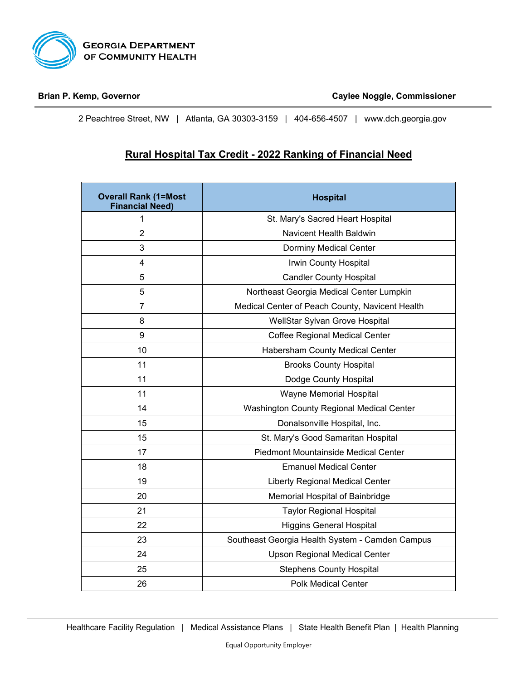

**Brian P. Kemp, Governor Caylee Noggle, Commissioner**

2 Peachtree Street, NW | Atlanta, GA 30303-3159 | 404-656-4507 | [www.dch.georgia.gov](http://www.dch.georgia.gov/)

## **Rural Hospital Tax Credit - 2022 Ranking of Financial Need**

| <b>Overall Rank (1=Most</b><br><b>Financial Need)</b> | <b>Hospital</b>                                 |
|-------------------------------------------------------|-------------------------------------------------|
| 1                                                     | St. Mary's Sacred Heart Hospital                |
| $\overline{2}$                                        | <b>Navicent Health Baldwin</b>                  |
| 3                                                     | <b>Dorminy Medical Center</b>                   |
| 4                                                     | Irwin County Hospital                           |
| 5                                                     | <b>Candler County Hospital</b>                  |
| 5                                                     | Northeast Georgia Medical Center Lumpkin        |
| $\overline{7}$                                        | Medical Center of Peach County, Navicent Health |
| 8                                                     | WellStar Sylvan Grove Hospital                  |
| 9                                                     | Coffee Regional Medical Center                  |
| 10                                                    | <b>Habersham County Medical Center</b>          |
| 11                                                    | <b>Brooks County Hospital</b>                   |
| 11                                                    | Dodge County Hospital                           |
| 11                                                    | Wayne Memorial Hospital                         |
| 14                                                    | Washington County Regional Medical Center       |
| 15                                                    | Donalsonville Hospital, Inc.                    |
| 15                                                    | St. Mary's Good Samaritan Hospital              |
| 17                                                    | <b>Piedmont Mountainside Medical Center</b>     |
| 18                                                    | <b>Emanuel Medical Center</b>                   |
| 19                                                    | <b>Liberty Regional Medical Center</b>          |
| 20                                                    | Memorial Hospital of Bainbridge                 |
| 21                                                    | <b>Taylor Regional Hospital</b>                 |
| 22                                                    | <b>Higgins General Hospital</b>                 |
| 23                                                    | Southeast Georgia Health System - Camden Campus |
| 24                                                    | <b>Upson Regional Medical Center</b>            |
| 25                                                    | <b>Stephens County Hospital</b>                 |
| 26                                                    | <b>Polk Medical Center</b>                      |